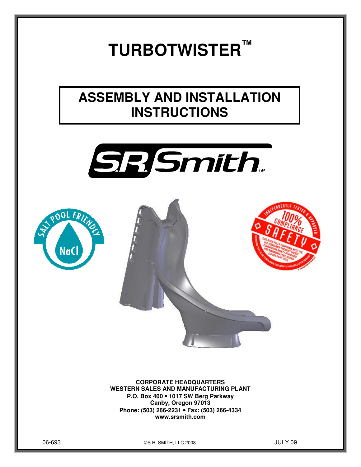# **TURBOTWISTER™**

# **ASSEMBLY AND INSTALLATION INSTRUCTIONS**







**CORPORATE HEADQUARTERS WESTERN SALES AND MANUFACTURING PLANT P.O. Box 400** • **1017 SW Berg Parkway Canby, Oregon 97013 Phone: (503) 266-2231** • **Fax: (503) 266-4334 www.srsmith.com** 

06-693 S.R. SMITH, LLC 2008 JULY 09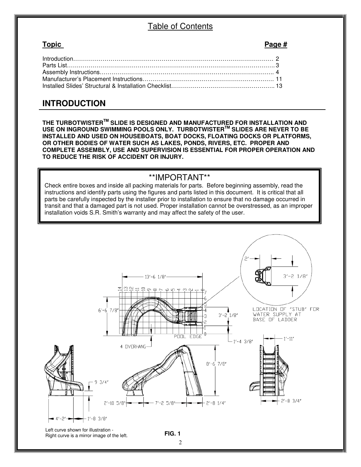# Table of Contents

#### **Topic Page #**

| $Introduction$ 2 |  |
|------------------|--|
|                  |  |
|                  |  |
|                  |  |
|                  |  |
|                  |  |

# **INTRODUCTION**

**THE TURBOTWISTERTM SLIDE IS DESIGNED AND MANUFACTURED FOR INSTALLATION AND USE ON INGROUND SWIMMING POOLS ONLY. TURBOTWISTERTM SLIDES ARE NEVER TO BE INSTALLED AND USED ON HOUSEBOATS, BOAT DOCKS, FLOATING DOCKS OR PLATFORMS, OR OTHER BODIES OF WATER SUCH AS LAKES, PONDS, RIVERS, ETC. PROPER AND COMPLETE ASSEMBLY, USE AND SUPERVISION IS ESSENTIAL FOR PROPER OPERATION AND TO REDUCE THE RISK OF ACCIDENT OR INJURY.** 

# \*\*IMPORTANT\*\*

Check entire boxes and inside all packing materials for parts. Before beginning assembly, read the instructions and identify parts using the figures and parts listed in this document. It is critical that all parts be carefully inspected by the installer prior to installation to ensure that no damage occurred in transit and that a damaged part is not used. Proper installation cannot be overstressed, as an improper installation voids S.R. Smith's warranty and may affect the safety of the user.

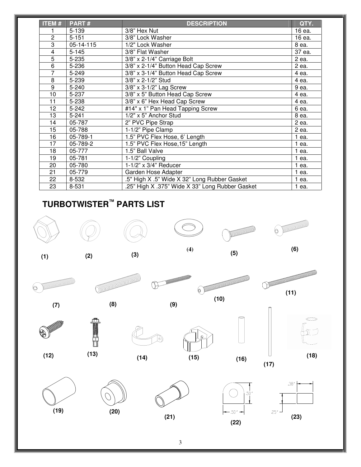| <b>ITEM#</b>   | PART#     | <b>DESCRIPTION</b>                              | QTY.    |
|----------------|-----------|-------------------------------------------------|---------|
|                | 5-139     | 3/8" Hex Nut                                    | 16 ea.  |
| 2              | $5 - 151$ | 3/8" Lock Washer                                | 16 ea.  |
| 3              | 05-14-115 | 1/2" Lock Washer                                | 8 ea.   |
| 4              | $5 - 145$ | 3/8" Flat Washer                                | 37 ea.  |
| $\overline{5}$ | 5-235     | 3/8" x 2-1/4" Carriage Bolt                     | $2$ ea. |
| 6              | 5-236     | 3/8" x 2-1/4" Button Head Cap Screw             | 2 ea.   |
| 7              | 5-249     | 3/8" x 3-1/4" Button Head Cap Screw             | 4 ea.   |
| 8              | 5-239     | 3/8" x 2-1/2" Stud                              | 4 ea.   |
| 9              | $5 - 240$ | 3/8" x 3-1/2" Lag Screw                         | 9 ea.   |
| 10             | 5-237     | 3/8" x 5" Button Head Cap Screw                 | 4 ea.   |
| 11             | 5-238     | 3/8" x 6" Hex Head Cap Screw                    | 4 ea.   |
| 12             | $5 - 242$ | #14" x 1" Pan Head Tapping Screw                | 6 ea.   |
| 13             | $5 - 241$ | 1/2" x 5" Anchor Stud                           | 8 ea.   |
| 14             | 05-787    | 2" PVC Pipe Strap                               | 2 ea.   |
| 15             | 05-788    | 1-1/2" Pipe Clamp                               | 2 ea.   |
| 16             | 05-789-1  | 1.5" PVC Flex Hose, 6' Length                   | 1 ea.   |
| 17             | 05-789-2  | 1.5" PVC Flex Hose, 15" Length                  | 1 ea.   |
| 18             | 05-777    | 1.5" Ball Valve                                 | 1 ea.   |
| 19             | 05-781    | 1-1/2" Coupling                                 | 1 ea.   |
| 20             | 05-780    | $1-1/2$ " x 3/4" Reducer                        | 1 ea.   |
| 21             | 05-779    | Garden Hose Adapter                             | 1 ea.   |
| 22             | 8-532     | .5" High X .5" Wide X 32" Long Rubber Gasket    | 1 ea.   |
| 23             | 8-531     | .25" High X .375" Wide X 33" Long Rubber Gasket | 1 ea.   |

# **TURBOTWISTER™ PARTS LIST**

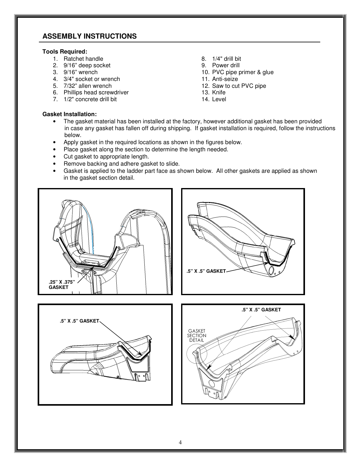## **ASSEMBLY INSTRUCTIONS**

#### **Tools Required:**

- 1. Ratchet handle
- 2. 9/16" deep socket
- 3. 9/16" wrench
- 4. 3/4" socket or wrench
- 5. 7/32" allen wrench
- 6. Phillips head screwdriver
- 7. 1/2" concrete drill bit
- 8. 1/4" drill bit
- 9. Power drill
- 10. PVC pipe primer & glue
- 11. Anti-seize
- 12. Saw to cut PVC pipe
- 13. Knife
- 14. Level

- **Gasket Installation:**
	- The gasket material has been installed at the factory, however additional gasket has been provided in case any gasket has fallen off during shipping. If gasket installation is required, follow the instructions below.
	- Apply gasket in the required locations as shown in the figures below.
	- Place gasket along the section to determine the length needed.
	- Cut gasket to appropriate length.
	- Remove backing and adhere gasket to slide.
	- Gasket is applied to the ladder part face as shown below. All other gaskets are applied as shown in the gasket section detail.







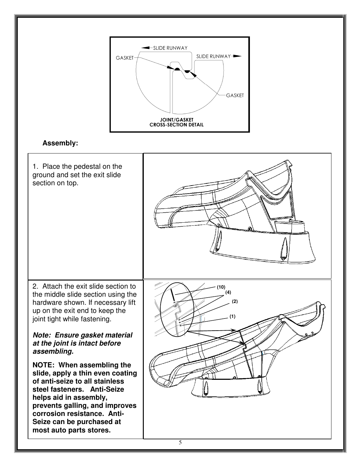

# **Assembly:**

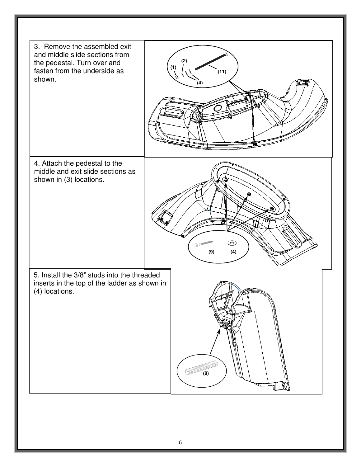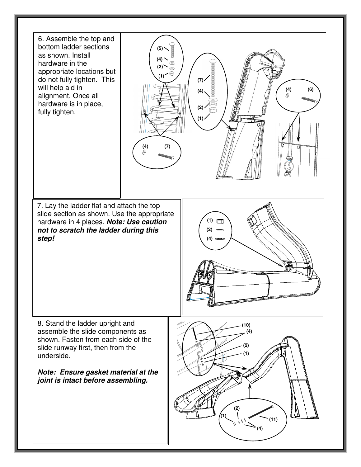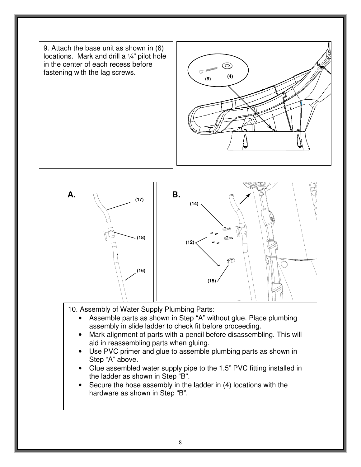



- 10. Assembly of Water Supply Plumbing Parts:
	- Assemble parts as shown in Step "A" without glue. Place plumbing assembly in slide ladder to check fit before proceeding.
	- Mark alignment of parts with a pencil before disassembling. This will aid in reassembling parts when gluing.
	- Use PVC primer and glue to assemble plumbing parts as shown in Step "A" above.
	- Glue assembled water supply pipe to the 1.5" PVC fitting installed in the ladder as shown in Step "B".
	- Secure the hose assembly in the ladder in (4) locations with the hardware as shown in Step "B".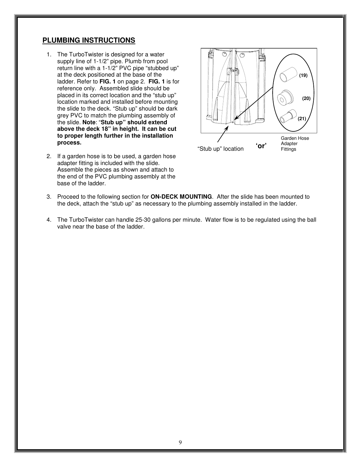### **PLUMBING INSTRUCTIONS**

- 1. The TurboTwister is designed for a water supply line of 1-1/2" pipe. Plumb from pool return line with a 1-1/2" PVC pipe "stubbed up" at the deck positioned at the base of the ladder. Refer to **FIG. 1** on page 2. **FIG. 1** is for reference only. Assembled slide should be placed in its correct location and the "stub up" location marked and installed before mounting the slide to the deck. "Stub up" should be dark grey PVC to match the plumbing assembly of the slide. **Note**: "**Stub up" should extend above the deck 18" in height. It can be cut to proper length further in the installation process.**
- 2. If a garden hose is to be used, a garden hose adapter fitting is included with the slide. Assemble the pieces as shown and attach to the end of the PVC plumbing assembly at the base of the ladder.



- 3. Proceed to the following section for **ON-DECK MOUNTING**. After the slide has been mounted to the deck, attach the "stub up" as necessary to the plumbing assembly installed in the ladder.
- 4. The TurboTwister can handle 25-30 gallons per minute. Water flow is to be regulated using the ball valve near the base of the ladder.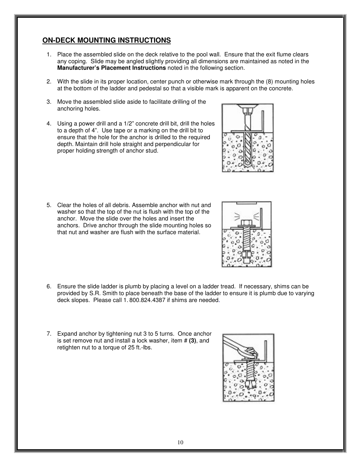# **ON-DECK MOUNTING INSTRUCTIONS**

- 1. Place the assembled slide on the deck relative to the pool wall. Ensure that the exit flume clears any coping. Slide may be angled slightly providing all dimensions are maintained as noted in the **Manufacturer's Placement Instructions** noted in the following section.
- 2. With the slide in its proper location, center punch or otherwise mark through the (8) mounting holes at the bottom of the ladder and pedestal so that a visible mark is apparent on the concrete.
- 3. Move the assembled slide aside to facilitate drilling of the anchoring holes.
- 4. Using a power drill and a 1/2" concrete drill bit, drill the holes to a depth of 4". Use tape or a marking on the drill bit to ensure that the hole for the anchor is drilled to the required depth. Maintain drill hole straight and perpendicular for proper holding strength of anchor stud.

- 5. Clear the holes of all debris. Assemble anchor with nut and washer so that the top of the nut is flush with the top of the anchor. Move the slide over the holes and insert the anchors. Drive anchor through the slide mounting holes so that nut and washer are flush with the surface material.
- 6. Ensure the slide ladder is plumb by placing a level on a ladder tread. If necessary, shims can be provided by S.R. Smith to place beneath the base of the ladder to ensure it is plumb due to varying deck slopes. Please call 1. 800.824.4387 if shims are needed.
- 7. Expand anchor by tightening nut 3 to 5 turns. Once anchor is set remove nut and install a lock washer, item # **(3)**, and retighten nut to a torque of 25 ft.-lbs.





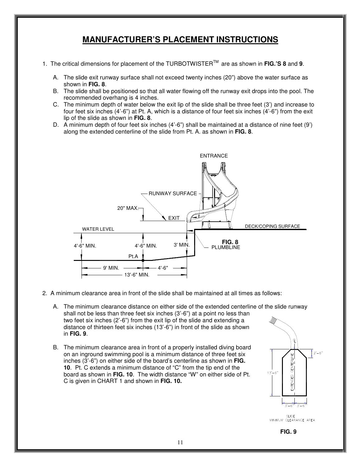# **MANUFACTURER'S PLACEMENT INSTRUCTIONS**

- 1. The critical dimensions for placement of the TURBOTWISTERTM are as shown in **FIG.'S 8** and **9**.
	- A. The slide exit runway surface shall not exceed twenty inches (20") above the water surface as shown in **FIG. 8**.
	- B. The slide shall be positioned so that all water flowing off the runway exit drops into the pool. The recommended overhang is 4 inches.
	- C. The minimum depth of water below the exit lip of the slide shall be three feet (3') and increase to four feet six inches (4'-6") at Pt. A, which is a distance of four feet six inches (4'-6") from the exit lip of the slide as shown in **FIG. 8**.
	- D. A minimum depth of four feet six inches (4'-6") shall be maintained at a distance of nine feet (9') along the extended centerline of the slide from Pt. A. as shown in **FIG. 8**.



- 2. A minimum clearance area in front of the slide shall be maintained at all times as follows:
	- A. The minimum clearance distance on either side of the extended centerline of the slide runway shall not be less than three feet six inches (3'-6") at a point no less than two feet six inches (2'-6") from the exit lip of the slide and extending a distance of thirteen feet six inches (13'-6") in front of the slide as shown in **FIG. 9**.
	- B. The minimum clearance area in front of a properly installed diving board on an inground swimming pool is a minimum distance of three feet six inches (3'-6") on either side of the board's centerline as shown in **FIG. 10**. Pt. C extends a minimum distance of "C" from the tip end of the board as shown in **FIG. 10**. The width distance "W" on either side of Pt. C is given in CHART 1 and shown in **FIG. 10.**



SLIDE<br>MINIMUM CLEARANCE AREA

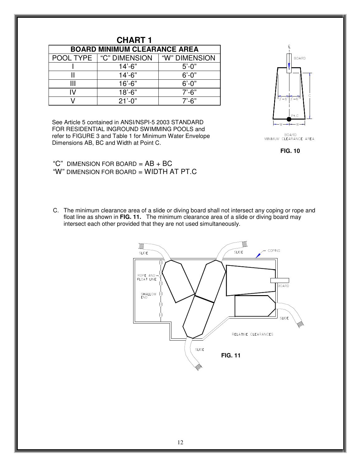| <b>CHART 1</b>                      |               |               |  |  |  |  |
|-------------------------------------|---------------|---------------|--|--|--|--|
| <b>BOARD MINIMUM CLEARANCE AREA</b> |               |               |  |  |  |  |
| POOL TYPE                           | "C" DIMENSION | "W" DIMENSION |  |  |  |  |
|                                     | $14' - 6"$    | $5' - 0''$    |  |  |  |  |
|                                     | $14' - 6"$    | $6' - 0''$    |  |  |  |  |
| Ш                                   | $16' - 6"$    | $6' - 0''$    |  |  |  |  |
| ΙV                                  | $18' - 6"$    | $7' - 6''$    |  |  |  |  |
|                                     | $21'-0$ "     | $7' - 6"$     |  |  |  |  |

See Article 5 contained in ANSI/NSPI-5 2003 STANDARD FOR RESIDENTIAL INGROUND SWIMMING POOLS and refer to FIGURE 3 and Table 1 for Minimum Water Envelope Dimensions AB, BC and Width at Point C.



BOARD<br>MINIMUM CLEARANCE AREA



"C" DIMENSION FOR BOARD  $=$  AB  $+$  BC "W" DIMENSION FOR BOARD = WIDTH AT PT.C

C. The minimum clearance area of a slide or diving board shall not intersect any coping or rope and float line as shown in **FIG. 11.** The minimum clearance area of a slide or diving board may intersect each other provided that they are not used simultaneously.